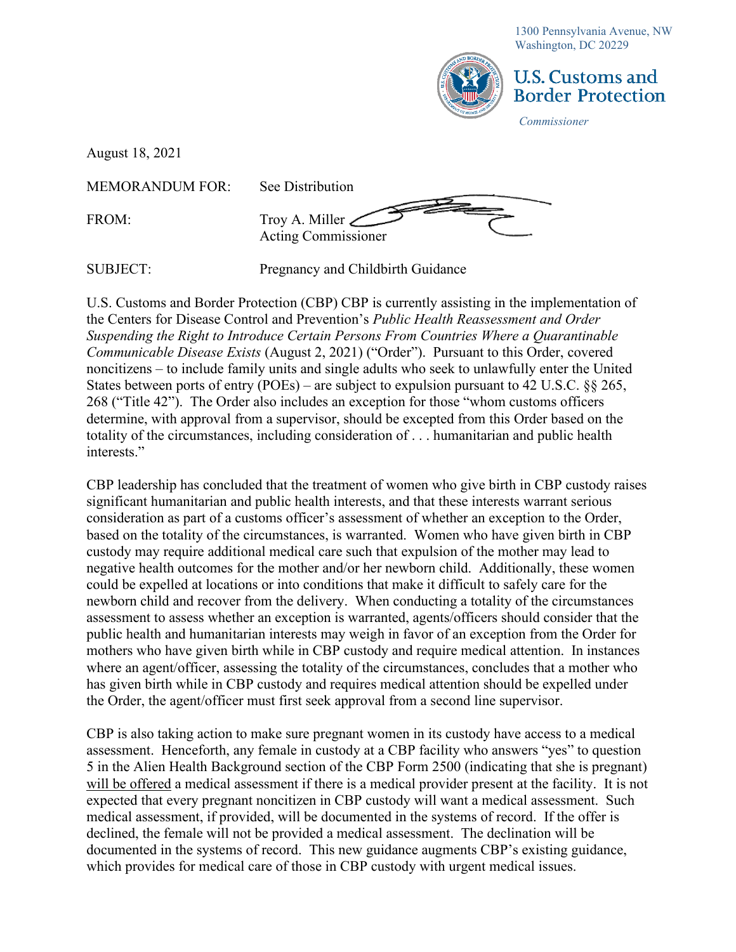1300 Pennsylvania Avenue, NW Washington, DC 20229



## U.S. Customs and **Border Protection**

*Commissioner*

August 18, 2021

MEMORANDUM FOR: See Distribution

FROM: Troy A. Miller Acting Commissioner

SUBJECT: Pregnancy and Childbirth Guidance

U.S. Customs and Border Protection (CBP) CBP is currently assisting in the implementation of the Centers for Disease Control and Prevention's *Public Health Reassessment and Order Suspending the Right to Introduce Certain Persons From Countries Where a Quarantinable Communicable Disease Exists* (August 2, 2021) ("Order"). Pursuant to this Order, covered noncitizens – to include family units and single adults who seek to unlawfully enter the United States between ports of entry (POEs) – are subject to expulsion pursuant to 42 U.S.C. §§ 265, 268 ("Title 42"). The Order also includes an exception for those "whom customs officers determine, with approval from a supervisor, should be excepted from this Order based on the totality of the circumstances, including consideration of . . . humanitarian and public health interests."

CBP leadership has concluded that the treatment of women who give birth in CBP custody raises significant humanitarian and public health interests, and that these interests warrant serious consideration as part of a customs officer's assessment of whether an exception to the Order, based on the totality of the circumstances, is warranted. Women who have given birth in CBP custody may require additional medical care such that expulsion of the mother may lead to negative health outcomes for the mother and/or her newborn child. Additionally, these women could be expelled at locations or into conditions that make it difficult to safely care for the newborn child and recover from the delivery. When conducting a totality of the circumstances assessment to assess whether an exception is warranted, agents/officers should consider that the public health and humanitarian interests may weigh in favor of an exception from the Order for mothers who have given birth while in CBP custody and require medical attention. In instances where an agent/officer, assessing the totality of the circumstances, concludes that a mother who has given birth while in CBP custody and requires medical attention should be expelled under the Order, the agent/officer must first seek approval from a second line supervisor.

CBP is also taking action to make sure pregnant women in its custody have access to a medical assessment. Henceforth, any female in custody at a CBP facility who answers "yes" to question 5 in the Alien Health Background section of the CBP Form 2500 (indicating that she is pregnant) will be offered a medical assessment if there is a medical provider present at the facility. It is not expected that every pregnant noncitizen in CBP custody will want a medical assessment. Such medical assessment, if provided, will be documented in the systems of record. If the offer is declined, the female will not be provided a medical assessment. The declination will be documented in the systems of record. This new guidance augments CBP's existing guidance, which provides for medical care of those in CBP custody with urgent medical issues.